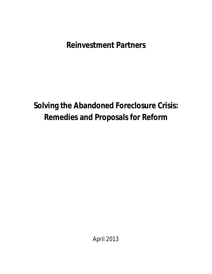**Reinvestment Partners**

**Solving the Abandoned Foreclosure Crisis: Remedies and Proposals for Reform**

April 2013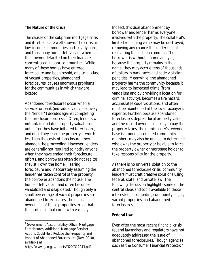#### **The Nature of the Crisis**

The causes of the subprime mortgage crisis and its effects are well known. The crisis hit low-income communities particularly hard, and thus many homes left vacant when their owner defaulted on their loan are concentrated in poor communities. While many of these homes have entered foreclosure and been resold, one small class of vacant properties, abandoned foreclosures, causes enormous problems for the communities in which they are located.

Abandoned foreclosures occur when a servicer or bank (individually or collectively, the "lender") decides against completing the foreclosure process.<sup>1</sup> Often, lenders will not obtain updated property valuations until after they have initiated foreclosure, and once they learn the property is worth less than the costs of foreclosure, they abandon the proceeding. However, lenders are generally not required to notify anyone when they have ended their foreclosure efforts, and borrowers often do not realize they still own the home. Fearing foreclosure and inaccurately assuming the lender has taken control of the property, the borrower abandons the house. The home is left vacant and often becomes vandalized and dilapidated. Though only a small percentage of vacant properties are abandoned foreclosures, the unclear ownership of these properties exacerbates the problems that come with vacancy.

 $\overline{a}$ 

Indeed, this dual abandonment by borrower and lender harms everyone involved with the property. The collateral's limited remaining value may be destroyed, removing any chance the lender had of recovering the lost loan amount. The borrower is without a home and yet, because the property remains in their name, they may accrue tens of thousands of dollars in back taxes and code violation penalties. Meanwhile, the abandoned property harms the community because it may lead to increased crime (from vandalism and by providing a location for criminal activity), becomes a fire hazard, accumulates code violations, and often must be maintained at the local taxpayer's expense. Further, because abandoned foreclosures depress local property values and the record owner is unlikely to pay the property taxes, the municipality's revenue base is eroded. Interested community members may also be unable to determine who owns the property or be able to force the property owner or mortgage holder to take responsibility for the property.

As there is no universal solution to the abandoned foreclosure crisis, community leaders must craft creative solutions using federal, state, and private law. The following discussion highlights some of the central ideas and tools available to those interested in combating community blight, vacant properties, and abandoned foreclosures.

#### **Federal Law**

Even after the most recent financial crisis, federal lawmakers and regulators have not adequately addressed the issue of abandoned foreclosures. Though agencies such as the Consumer Financial Protection

<sup>1</sup> Government Accountability Office, *Mortgage Foreclosures, Additional Mortgage Servicer Actions Could Help Reduce the Frequency and Impact of Abandoned Foreclosures* (Nov. 2010), *available at*  http://www.gao.gov/assets/320/312243.pdf.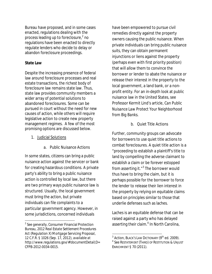Bureau have proposed, and in some cases enacted, regulations dealing with the process leading up to foreclosure, 2 no regulations have been enacted to directly regulate lenders who decide to delay or abandon foreclosure proceedings.

## **State Law**

 $\overline{a}$ 

Despite the increasing presence of federal law around foreclosure processes and real estate transactions, the richest body of foreclosure law remains state law. Thus, state law provides community members a wider array of potential solutions to abandoned foreclosures. Some can be pursued in court without the need for new causes of action, while others will require legislative action to create new property management regimes. A few of the most promising options are discussed below.

- 1. Judicial Solutions
	- a. Public Nuisance Actions

In some states, citizens can bring a public nuisance action against the servicer or bank for creating hazardous conditions. A private party's ability to bring a public nuisance action is controlled by local law, but there are two primary ways public nuisance law is structured. Usually, the local government must bring the action, but private individuals can file complaints to a particular government agency. However, in some jurisdictions, concerned individuals

have been empowered to pursue civil remedies directly against the property owners causing the public nuisance. When private individuals can bring public nuisance suits, they can obtain permanent injunctions or liens against the property (perhaps even with first priority position) that will allow them to convince the borrower or lender to abate the nuisance or release their interest in the property to the local government, a land bank, or a nonprofit entity. For an in-depth look at public nuisance law in the United States, see Professor Kermit Lind's article, *Can Public Nuisance Law Protect Your Neighborhood from Big Banks*.

b. Quiet Title Actions

Further, community groups can advocate for borrowers to use quiet title actions to combat foreclosures. A quiet title action is a "proceeding to establish a plaintiff's title to land by compelling the adverse claimant to establish a claim or be forever estopped from asserting it."<sup>3</sup> The borrower would thus have to bring the claim, but it is perhaps possible for the borrower to force the lender to release their lien interest in the property by relying on equitable claims based on principles similar to those that underlie defenses such as laches.

Laches is an equitable defense that can be raised against a party who has delayed asserting their claim.<sup>4</sup> In North Carolina,

<sup>2</sup> *See generally*, Consumer Financial Protection Bureau, *2012 Real Estate Settlement Procedures Act (Regulation X) Mortgage Servicing Proposal*, 12 C.F.R. § 1026 (Sep. 17, 2012), *available at* http://www.regulations.gov/#!documentDetail;D= CFPB-2012-0034-0015.

 $^3$  Action, Black's Law Dictionary (9<sup>th</sup> ed. 2009).

<sup>4</sup> *See* RESTATEMENT (THIRD) OF RESTITUTION & UNJUST ENRICHMENT § 70 (2011).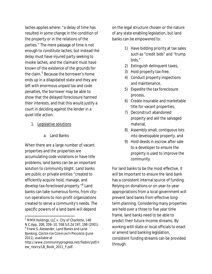laches applies where: "a delay of time has resulted in some change in the condition of the property or in the relations of the parties." The mere passage of time is not enough to constitute laches, but instead the delay must have injured party seeking to invoke laches, and the claimant must have known of the existence of the grounds for the claim.<sup>5</sup> Because the borrower's home ends up in a dilapidated state and they are left with enormous unpaid tax and code penalties, the borrower may be able to show that the delayed foreclosure harmed their interests, and that this would justify a court in deciding against the lender in a quiet title action.

- 1. Legislative solutions
	- a. Land Banks

When there are a large number of vacant properties and the properties are accumulating code violations or have title problems, land banks can be an important solution to community blight. Land banks are public or private entities "created to efficiently acquire hold, manage, and develop tax-foreclosed property."<sup>6</sup> Land banks can take numerous forms, from cityrun operations to non-profit organizations created to serve a community's needs. The specific powers of a land bank will depend

 $\overline{\phantom{a}}$ 

on the legal structure chosen or the nature of any state enabling legislation, but land banks can be empowered to:

- 1) Have bidding priority at tax sales such as "credit bids" and "trump bids,"
- 2) Extinguish delinquent taxes,
- 3) Hold property tax-free,
- 4) Conduct property inspections and maintenance,
- 5) Expedite the tax foreclosure process,
- 6) Create insurable and marketable title for vacant properties,
- 7) Deconstruct abandoned property and sell the salvaged material,
- 8) Assembly small, contiguous lots into developable property, and
- 9) Hold deeds in escrow after sale to a developer to ensure the property is used to improve the community.

For land banks to be the most effective, it will be important to ensure the land bank has a consistent internal source of funding. Relying on donations or on year-to-year appropriations from a local government will prevent land banks from effective longterm planning. Considering many properties are held over a three to five year time frame, land banks need to be able to predict their future income streams. By working with state or local officials to enact or amend land banking legislation, consistent funding streams can be provided through:

<sup>&</sup>lt;sup>5</sup> MMR Holdings, LLC v. City of Charlotte, 148 N.C.App. 208, 209–10, 558 S.E.2d 197, 198 (2001). 6 Frank S. Alexander, *Land Banks and Land Banking*, CENTER FOR COMMUNITY PROGRESS (June 2011), *available at* 

http://www.communityprogress.net/filebin/pdf/n ew\_resrcs/LB\_Book\_2011\_F.pdf.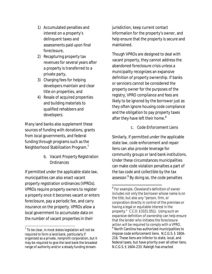- 1) Accumulated penalties and interest on a property's delinquent taxes and assessments paid upon final foreclosure,
- 2) Recapturing property tax revenues for several years after a property is transferred to a private party,
- 3) Charging fees for helping developers maintain and clear title on properties, and
- 4) Resale of acquired properties and building materials to qualified rehabbers and developers.

Many land banks also supplement these sources of funding with donations, grants from local governments, and federal funding through programs such as the Neighborhood Stabilization Program.<sup>7</sup>

> b. Vacant Property Registration **Ordinances**

If permitted under the applicable state law, municipalities can also enact vacant property registration ordinances (VPROs). VPROs require property owners to register a property once it becomes vacant or enters foreclosure, pay a periodic fee, and carry insurance on the property. VPROs allow a local government to accumulate data on the number of vacant properties in their

jurisdiction, keep current contact information for the property's owner, and help ensure that the property is secure and maintained.

Though VPROs are designed to deal with vacant property, they cannot address the abandoned foreclosure crisis unless a municipality recognizes an expansive definition of property ownership. If banks or servicers cannot be considered the property owner for the purposes of the registry, VPRO compliance and fees are likely to be ignored by the borrower just as they often ignore housing code compliance and the obligation to pay property taxes after they have left their home. $^8$ 

c. Code Enforcement Liens

Similarly, if permitted under the applicable state law, code enforcement and repair liens can also provide leverage for community groups or land bank institutions. Under these circumstances municipalities can make code violation penalties a part of the tax code and collectible by the tax assessor.<sup>9</sup> By doing so, the code penalties

 $\overline{a}$  $^7$  To be clear, in most states legislation will not be required to form a land bank, particularly if organized as a private, nonprofit corporation, but it may be required to give the land bank the broadest range of authority and/or a steady funding stream.

 $\overline{a}$ <sup>8</sup> For example, Cleveland's definition of owner includes not only the borrower whose name is on the title, but also *any "*person, firm, or corporation directly in control of the premises or having a legal or equitable interest in the property." C.C.O. §3101.05(j). Using such an expansive definition of ownership can help ensure that the lender who initiates the foreclosure action will be required to comply with a VPRO.  $<sup>9</sup>$  North Carolina has authorized municipalities to</sup> impose code enforcement liens. N.C.G.S. § 160A-216. These liens are inferior to state, local, and federal taxes, but have priority over all other liens. N.C.G.S. § 160A-233. Raleigh has enacted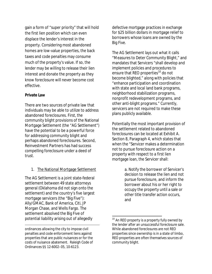gain a form of "super priority" that will hold the first lien position which can even displace the lender's interest in the property. Considering most abandoned homes are low-value properties, the back taxes and code penalties may consume much of the property's value. If so, the lender may be willing to release their lien interest and donate the property as they know foreclosure will never become cost effective.

## **Private Law**

 $\overline{a}$ 

There are two sources of private law that individuals may be able to utilize to address abandoned foreclosures. First, the community blight provisions of the National Mortgage Settlement (the "AG Settlement") have the potential to be a powerful force for addressing community blight and perhaps abandoned foreclosures. Second, Reinvestment Partners has had success compelling foreclosure under a deed of trust.

# 1. The National Mortgage Settlement

The AG Settlement is a joint state-federal settlement between 49 state attorneys general (Oklahoma did not sign onto the settlement) and the country's five largest mortgage servicers (the "Big Five"): Ally/GMAC, Bank of America, Citi, JP Morgan Chase, and Wells Fargo. The settlement absolved the Big Five of potential liability arising out of allegedly

defective mortgage practices in exchange for \$25 billion dollars in mortgage relief to borrowers whose loans are owned by the Big Five.

The AG Settlement lays out what it calls "Measures to Deter Community Blight," and mandates that Servicers "shall develop and implement policies and procedures to ensure that REO properties<sup>10</sup> do not become blighted," along with policies that "enhance participation and coordination with state and local land bank programs, neighborhood stabilization programs, nonprofit redevelopment programs, and other anti-blight programs." Currently, servicers are not required to make these plans publicly available.

Potentially the most important provision of the settlement related to abandoned foreclosures can be located at Exhibit A. Section 8, Paragraph 4, which states that when the "Servicer makes a determination not to pursue foreclosure action on a property with respect to a first lien mortgage loan, the Servicer shall:

> a. Notify the borrower of Servicer's decision to release the lien and not pursue foreclosure, and inform the borrower about his or her right to occupy the property until a sale or other title transfer action occurs, and

 $\overline{\phantom{a}}$ 

ordinances allowing the city to impose civil penalties and code enforcement liens against properties that are public nuisances or for the costs of nuisance abatement. Raleigh Code of Ordinances §§ 12-6002–05, 10-6123.

 $10$  An REO property is a property fully owned by the lender after an unsuccessful foreclosure sale. While abandoned foreclosures are not REO properties since ownership is in a state of limbo, REO properties are often themselves sources of community blight.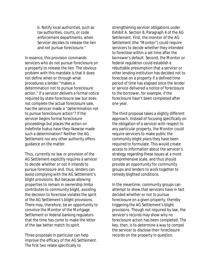b. Notify local authorities, such as tax authorities, courts, or code enforcement departments, when Servicer decides to release the lien and not pursue foreclosure."

In essence, this provision commands servicers who do not pursue foreclosure on a property to release the lien. The obvious problem with this mandate is that it does not define *when* or through what *procedures* a lender "makes a determination not to pursue foreclosure action." If a servicer delivers a formal notice required by state foreclosure law but does not complete the actual foreclosure sale, has the servicer made a "determination not to pursue foreclosure action"? If the servicer begins formal foreclosure proceedings but places the action on indefinite hiatus have they likewise made such a determination? Neither the AG Settlement nor any other authority offers guidance on the matter.

Thus, currently no law or provision of the AG Settlement explicitly requires a servicer to decide whether or not it intends to pursue foreclosure and, thus, lenders can avoid complying with the AG Settlement's blight provisions. But because allowing properties to remain in ownership limbo contributes to community blight, avoiding the decision to foreclose violates the spirit of the AG Settlement's blight provisions. There may, therefore, be an opportunity to convince the Monitor of the Mortgage Settlement or federal banking regulators that the time has come to make the letter of the law better match its spirit.

Three proposals in particular can help improve the efficacy of the AG Settlement. The first two relate specifically to

strengthening servicer obligations under Exhibit A. Section 8, Paragraph 4 of the AG Settlement. First, the monitor of the AG Settlement (the "Monitor") could require servicers to decide whether they intended to foreclose within a set time after the borrower's default. Second, the Monitor or federal regulation could establish a rebuttable presumption that a servicer or other lending institution has decided not to foreclose on a property if a defined time period of time has elapsed since the lender or service delivered a notice of foreclosure to the borrower, for example, if the foreclosure hasn't been completed after one year.

The third proposal takes a slightly different approach. Instead of focusing specifically on the obligation of a servicer with respect to any particular property, the Monitor could require servicers to make public the community blight plans they have been required to formulate. This would create access to information about the servicer's strategy regarding these issues at a more comprehensive scale, and thus should provide an opportunity for community groups and lenders to work together to remedy blighted conditions.

In the meantime, community groups can attempt to show that servicers have in fact decided whether or not to pursue foreclosure on a given property, thereby triggering the AG Settlement's blight provisions. Though not required by law, the servicer's records may show why no foreclosure action has been completed. The key, then, is to determine a way to compel the servicer to disclose their foreclosure records on the property in question.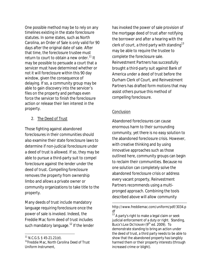One possible method may be to rely on any timelines existing in the state foreclosure statutes. In some states, such as North Carolina, an Order of Sale is only valid for 90 days after the original date of sale. After that time, the foreclosure trustee must return to court to obtain a new order.<sup>11</sup> It may be possible to persuade a court that a servicer must have determined whether or not it will foreclosure within this 90 day window, given the consequence of delaying. If so, a community group may be able to gain discovery into the servicer's files on the property and perhaps even force the servicer to finish the foreclosure action or release their lien interest in the property.

## 2. The Deed of Trust

Those fighting against abandoned foreclosures in their communities should also examine their state foreclosure laws to determine if non-judicial foreclosure under a deed of trust is allowed. If so, they may be able to pursue a third-party suit to compel foreclosure against the lender under the deed of trust. Compelling foreclosure removes the property from ownership limbo and allows a private owner or community organizations to take title to the property.

Many deeds of trust include mandatory language requiring foreclosure once the power of sale is invoked. Indeed, the Freddie Mac form deed of trust includes such mandatory language.<sup>12</sup> If the lender

 $\overline{\phantom{a}}$ 

has invoked the power of sale provision of the mortgage deed of trust after notifying the borrower and after a hearing with the clerk of court, a third party with standing  $13$ may be able to require the trustee to complete the foreclosure sale. Reinvestment Partners has successfully brought a third-party suit against Bank of America under a deed of trust before the Durham Clerk of Court, and Reinvestment Partners has drafted form motions that may assist others pursue this method of compelling foreclosure.

## **Conclusion**

 $\overline{a}$ 

Abandoned foreclosures can cause enormous harm to their surrounding community, yet there is no easy solution to the abandoned foreclosure crisis. However, with creative thinking and by using innovative approaches such as those outlined here, community groups can begin to reclaim their communities. Because no one solution can completely solve the abandoned foreclosure crisis or address every vacant property, Reinvestment Partners recommends using a multipronged approach. Combining the tools described above will allow community

 $11$  N.C.G.S. § 45-21.21(d).

<sup>12</sup>Freddie Mac, *North Carolina Deed of Trust Uniform Instrument*,

http://www.freddiemac.com/uniform/pdf/3034.p df

 $13$  A party's right to make a legal claim or seek judicial enforcement of a duty or right. Standing, BLACK'S LAW DICTIONARY (9<sup>th</sup> ed. 2009). To demonstrate standing to bring an action under the deed of trust, a third party needs to be able to show that the abandoned property has tangibly harmed them or their property interests (through increased crime or blight).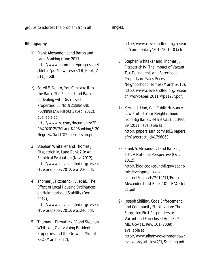groups to address the problem from all angles.

# **Bibliography**

- 1) Frank Alexander, *Land Banks and Land Banking* (June 2011), http://www.communityprogress.net /filebin/pdf/new\_resrcs/LB\_Book\_2 011\_F.pdf.
- 2) Sorell E. Negro, *You Can take it to the Bank, The Role of Land Banking in Dealing with Distressed Properties*, 35 NO. 9 ZONING AND PLANNING LAW REPORT 1 (Sep. 2012), *available at* http://www.rc.com/documents/ZPL R%202012%20Land%20Banking,%20

Negro%20with%20permission.pdf.

- 3) Stephan Whitaker and Thomas J. Fitzpatrick IV, *Land Bank 2.0: An Empirical Evaluation* (Nov. 2012), http://www.clevelandfed.org/resear ch/workpaper/2012/wp1230.pdf.
- 4) Thomas J. Fitzpatrick IV, *et al*., *The Effect of Local Housing Ordinances on Neighborhood Stability* (Dec. 2012),

http://www.clevelandfed.org/resear ch/workpaper/2012/wp1240.pdf.

5) Thomas J. Fitzpatrick IV and Stephan Whitaker, *Overvaluing Residential Properties and the Growing Glut of REO* (March 2012),

http://www.clevelandfed.org/resear ch/commentary/2012/2012-03.cfm.

- 6) Stephan Whitaker and Thomas J. Fitzpatrick IV, *The Impact of Vacant, Tax-Delinquent, and Foreclosed Property on Sales Prices of Neighborhood Homes* (March 2012), http://www.clevelandfed.org/resear ch/workpaper/2011/wp1123r.pdf.
- 7) Kermit J. Lind, *Can Public Nuisance Law Protect Your Neighborhood from Big Banks*, 44 SUFFOLK U. L. REV. 89 (2011), *available at*  http://papers.ssrn.com/sol3/papers. cfm?abstract\_id=1796063.
- 8) Frank S. Alexander, *Land Banking 101: A National Perspective* (Oct. 2012), http://blog.cookcountyil.gov/econo micdevelopment/wpcontent/uploads/2012/11/Frank-Alexander-Land-Bank-101-LBAC-Oct-31.pdf.
- 9) Joseph Shilling, *Code Enforcement and Community Stabilization: The Forgotten First Responders to Vacant and Foreclosed Homes*, 2 Alb. Gov't L. Rev. 101 (2009), *available at*  http://www.albanygovernmentlawr eview.org/articles/2/1/Schilling.pdf